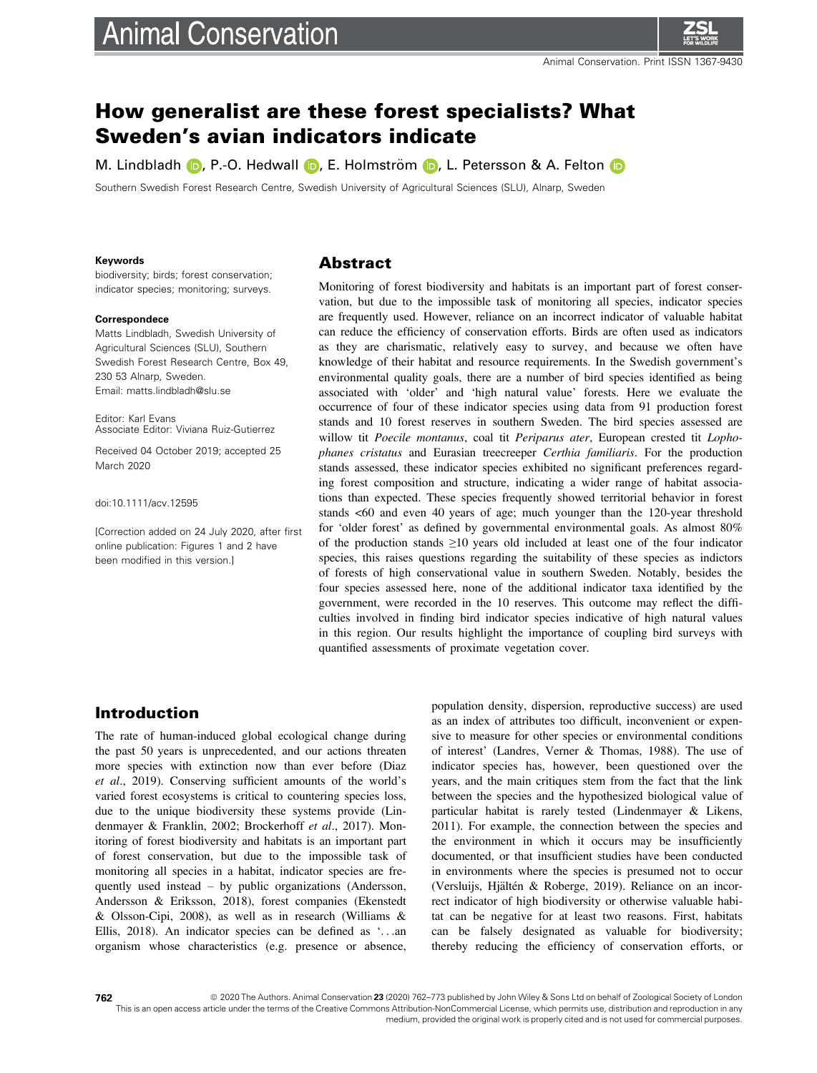

# How generalist are these forest specialists? What Sweden's avian indicators indicate

M. Lindblad[h](https://orcid.org/0000-0002-0577-0050) D. P.-O. Hedwall D. E. Hol[m](https://orcid.org/0000-0003-2025-1942)ström D. L. Petersson & A. Felton D

Southern Swedish Forest Research Centre, Swedish University of Agricultural Sciences (SLU), Alnarp, Sweden

#### Keywords

biodiversity; birds; forest conservation; indicator species; monitoring; surveys.

#### **Correspondece**

Matts Lindbladh, Swedish University of Agricultural Sciences (SLU), Southern Swedish Forest Research Centre, Box 49, 230.53 Alnarn, Sweden. Email: [matts.lindbladh@slu.se](mailto:)

Editor: Karl Evans Associate Editor: Viviana Ruiz-Gutierrez

Received 04 October 2019; accepted 25 March 2020

doi:10.1111/acv.12595

[Correction added on 24 July 2020, after first online publication: Figures 1 and 2 have been modified in this version.]

#### Abstract

Monitoring of forest biodiversity and habitats is an important part of forest conservation, but due to the impossible task of monitoring all species, indicator species are frequently used. However, reliance on an incorrect indicator of valuable habitat can reduce the efficiency of conservation efforts. Birds are often used as indicators as they are charismatic, relatively easy to survey, and because we often have knowledge of their habitat and resource requirements. In the Swedish government's environmental quality goals, there are a number of bird species identified as being associated with 'older' and 'high natural value' forests. Here we evaluate the occurrence of four of these indicator species using data from 91 production forest stands and 10 forest reserves in southern Sweden. The bird species assessed are willow tit Poecile montanus, coal tit Periparus ater, European crested tit Lophophanes cristatus and Eurasian treecreeper Certhia familiaris. For the production stands assessed, these indicator species exhibited no significant preferences regarding forest composition and structure, indicating a wider range of habitat associations than expected. These species frequently showed territorial behavior in forest stands <60 and even 40 years of age; much younger than the 120-year threshold for 'older forest' as defined by governmental environmental goals. As almost 80% of the production stands ≥10 years old included at least one of the four indicator species, this raises questions regarding the suitability of these species as indictors of forests of high conservational value in southern Sweden. Notably, besides the four species assessed here, none of the additional indicator taxa identified by the government, were recorded in the 10 reserves. This outcome may reflect the difficulties involved in finding bird indicator species indicative of high natural values in this region. Our results highlight the importance of coupling bird surveys with quantified assessments of proximate vegetation cover.

### Introduction

The rate of human-induced global ecological change during the past 50 years is unprecedented, and our actions threaten more species with extinction now than ever before (Diaz et al., 2019). Conserving sufficient amounts of the world's varied forest ecosystems is critical to countering species loss, due to the unique biodiversity these systems provide (Lindenmayer & Franklin, 2002; Brockerhoff et al., 2017). Monitoring of forest biodiversity and habitats is an important part of forest conservation, but due to the impossible task of monitoring all species in a habitat, indicator species are frequently used instead – by public organizations (Andersson, Andersson & Eriksson, 2018), forest companies (Ekenstedt & Olsson-Cipi, 2008), as well as in research (Williams & Ellis, 2018). An indicator species can be defined as '...an organism whose characteristics (e.g. presence or absence, population density, dispersion, reproductive success) are used as an index of attributes too difficult, inconvenient or expensive to measure for other species or environmental conditions of interest' (Landres, Verner & Thomas, 1988). The use of indicator species has, however, been questioned over the years, and the main critiques stem from the fact that the link between the species and the hypothesized biological value of particular habitat is rarely tested (Lindenmayer & Likens, 2011). For example, the connection between the species and the environment in which it occurs may be insufficiently documented, or that insufficient studies have been conducted in environments where the species is presumed not to occur (Versluijs, Hjältén & Roberge, 2019). Reliance on an incorrect indicator of high biodiversity or otherwise valuable habitat can be negative for at least two reasons. First, habitats can be falsely designated as valuable for biodiversity; thereby reducing the efficiency of conservation efforts, or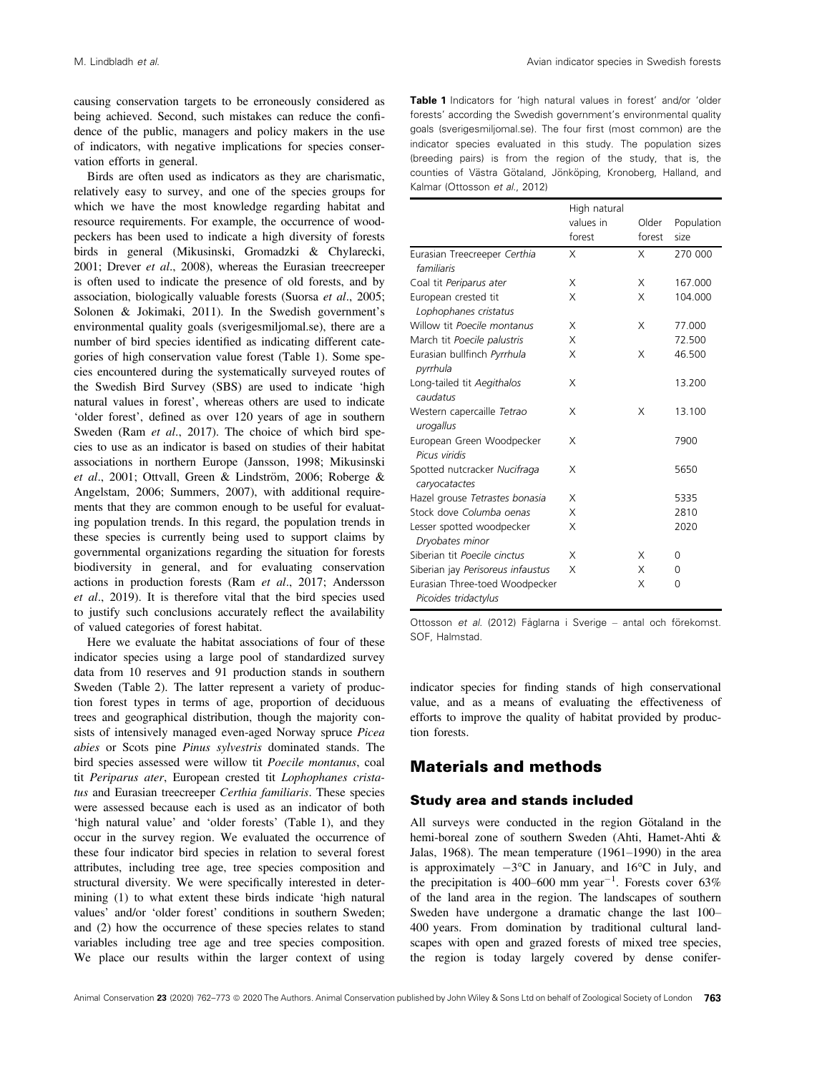causing conservation targets to be erroneously considered as being achieved. Second, such mistakes can reduce the confidence of the public, managers and policy makers in the use of indicators, with negative implications for species conservation efforts in general.

Birds are often used as indicators as they are charismatic, relatively easy to survey, and one of the species groups for which we have the most knowledge regarding habitat and resource requirements. For example, the occurrence of woodpeckers has been used to indicate a high diversity of forests birds in general (Mikusinski, Gromadzki & Chylarecki, 2001; Drever et al., 2008), whereas the Eurasian treecreeper is often used to indicate the presence of old forests, and by association, biologically valuable forests (Suorsa et al., 2005; Solonen & Jokimaki, 2011). In the Swedish government's environmental quality goals (sverigesmiljomal.se), there are a number of bird species identified as indicating different categories of high conservation value forest (Table 1). Some species encountered during the systematically surveyed routes of the Swedish Bird Survey (SBS) are used to indicate 'high natural values in forest', whereas others are used to indicate 'older forest', defined as over 120 years of age in southern Sweden (Ram et al., 2017). The choice of which bird species to use as an indicator is based on studies of their habitat associations in northern Europe (Jansson, 1998; Mikusinski et al., 2001; Ottvall, Green & Lindström, 2006; Roberge & Angelstam, 2006; Summers, 2007), with additional requirements that they are common enough to be useful for evaluating population trends. In this regard, the population trends in these species is currently being used to support claims by governmental organizations regarding the situation for forests biodiversity in general, and for evaluating conservation actions in production forests (Ram et al., 2017; Andersson et al., 2019). It is therefore vital that the bird species used to justify such conclusions accurately reflect the availability of valued categories of forest habitat.

Here we evaluate the habitat associations of four of these indicator species using a large pool of standardized survey data from 10 reserves and 91 production stands in southern Sweden (Table 2). The latter represent a variety of production forest types in terms of age, proportion of deciduous trees and geographical distribution, though the majority consists of intensively managed even-aged Norway spruce Picea abies or Scots pine Pinus sylvestris dominated stands. The bird species assessed were willow tit Poecile montanus, coal tit Periparus ater, European crested tit Lophophanes cristatus and Eurasian treecreeper Certhia familiaris. These species were assessed because each is used as an indicator of both 'high natural value' and 'older forests' (Table 1), and they occur in the survey region. We evaluated the occurrence of these four indicator bird species in relation to several forest attributes, including tree age, tree species composition and structural diversity. We were specifically interested in determining (1) to what extent these birds indicate 'high natural values' and/or 'older forest' conditions in southern Sweden; and (2) how the occurrence of these species relates to stand variables including tree age and tree species composition. We place our results within the larger context of using

Table 1 Indicators for 'high natural values in forest' and/or 'older forests' according the Swedish government's environmental quality goals (sverigesmiljomal.se). The four first (most common) are the indicator species evaluated in this study. The population sizes (breeding pairs) is from the region of the study, that is, the counties of Västra Götaland, Jönköping, Kronoberg, Halland, and Kalmar (Ottosson et al., 2012)

|                                                        | High natural |        |            |
|--------------------------------------------------------|--------------|--------|------------|
|                                                        | values in    | Older  | Population |
|                                                        | forest       | forest | size       |
| Eurasian Treecreeper Certhia                           | X            | X      | 270 000    |
| familiaris                                             |              |        |            |
| Coal tit Periparus ater                                | X            | X      | 167.000    |
| European crested tit                                   | X            | X      | 104.000    |
| Lophophanes cristatus                                  |              |        |            |
| Willow tit Poecile montanus                            | X            | X      | 77.000     |
| March tit Poecile palustris                            | X            |        | 72.500     |
| Eurasian bullfinch Pyrrhula                            | X            | X      | 46.500     |
| pyrrhula                                               |              |        |            |
| Long-tailed tit Aegithalos<br>caudatus                 | X            |        | 13.200     |
| Western capercaille Tetrao<br>urogallus                | X            | X      | 13.100     |
| European Green Woodpecker<br>Picus viridis             | X            |        | 7900       |
| Spotted nutcracker Nucifraga<br>caryocatactes          | X            |        | 5650       |
| Hazel grouse Tetrastes bonasia                         | X            |        | 5335       |
| Stock dove Columba oenas                               | X            |        | 2810       |
| Lesser spotted woodpecker<br>Dryobates minor           | X            |        | 2020       |
| Siberian tit Poecile cinctus                           | X            | X      | 0          |
| Siberian jay Perisoreus infaustus                      | X            | X      | 0          |
| Eurasian Three-toed Woodpecker<br>Picoides tridactylus |              | X      | 0          |

Ottosson et al. (2012) Fåglarna i Sverige – antal och förekomst. SOF, Halmstad.

indicator species for finding stands of high conservational value, and as a means of evaluating the effectiveness of efforts to improve the quality of habitat provided by production forests.

# Materials and methods

#### Study area and stands included

All surveys were conducted in the region Götaland in the hemi-boreal zone of southern Sweden (Ahti, Hamet-Ahti & Jalas, 1968). The mean temperature (1961–1990) in the area is approximately  $-3$ °C in January, and 16°C in July, and the precipitation is 400–600 mm year<sup>-1</sup>. Forests cover 63% of the land area in the region. The landscapes of southern Sweden have undergone a dramatic change the last 100– 400 years. From domination by traditional cultural landscapes with open and grazed forests of mixed tree species, the region is today largely covered by dense conifer-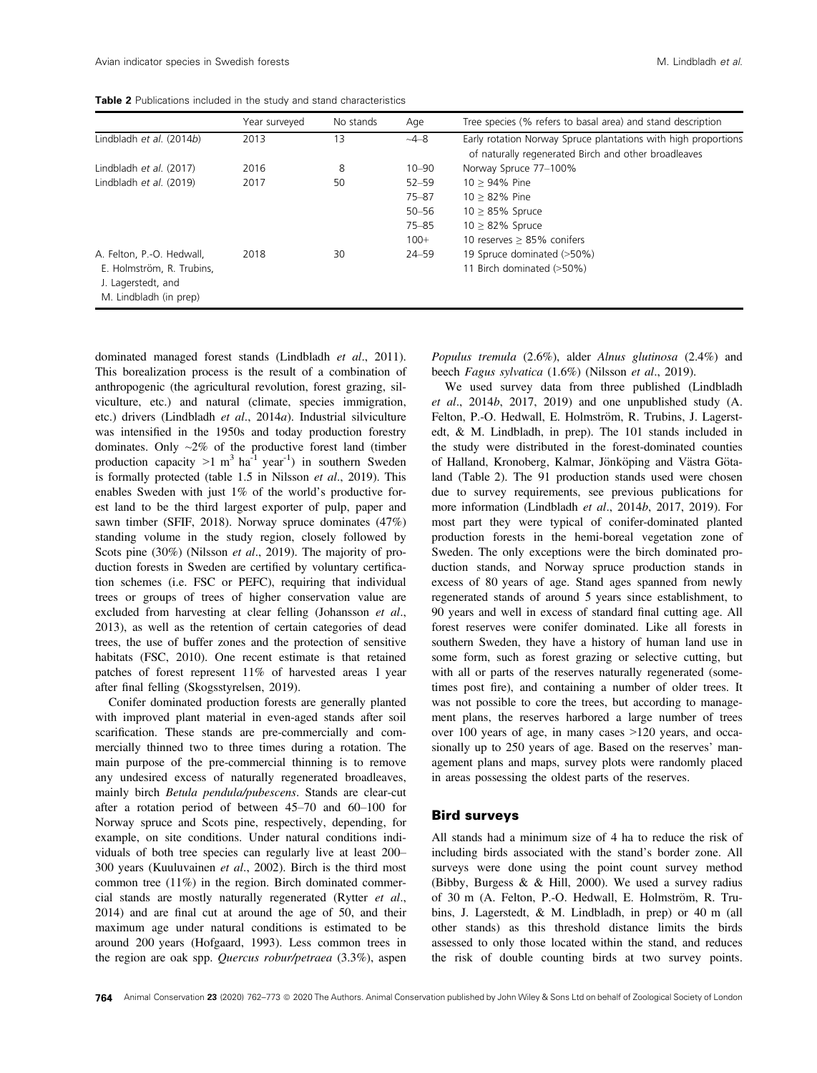Table 2 Publications included in the study and stand characteristics

|                                                                           | Year surveyed | No stands | Age       | Tree species (% refers to basal area) and stand description                                                            |
|---------------------------------------------------------------------------|---------------|-----------|-----------|------------------------------------------------------------------------------------------------------------------------|
| Lindbladh et al. (2014b)                                                  | 2013          | 13        | $-4 - 8$  | Early rotation Norway Spruce plantations with high proportions<br>of naturally regenerated Birch and other broadleaves |
| Lindbladh et al. (2017)                                                   | 2016          | 8         | $10 - 90$ | Norway Spruce 77-100%                                                                                                  |
| Lindbladh et al. (2019)                                                   | 2017          | 50        | $52 - 59$ | $10 > 94\%$ Pine                                                                                                       |
|                                                                           |               |           | 75-87     | $10 > 82\%$ Pine                                                                                                       |
|                                                                           |               |           | $50 - 56$ | $10 \geq 85\%$ Spruce                                                                                                  |
|                                                                           |               |           | $75 - 85$ | $10 \geq 82\%$ Spruce                                                                                                  |
|                                                                           |               |           | $100+$    | 10 reserves $> 85\%$ conifers                                                                                          |
| A. Felton, P.-O. Hedwall,                                                 | 2018          | 30        | $24 - 59$ | 19 Spruce dominated (>50%)                                                                                             |
| E. Holmström, R. Trubins,<br>J. Lagerstedt, and<br>M. Lindbladh (in prep) |               |           |           | 11 Birch dominated (>50%)                                                                                              |

dominated managed forest stands (Lindbladh et al., 2011). This borealization process is the result of a combination of anthropogenic (the agricultural revolution, forest grazing, silviculture, etc.) and natural (climate, species immigration, etc.) drivers (Lindbladh et al., 2014a). Industrial silviculture was intensified in the 1950s and today production forestry dominates. Only  $\sim$ 2% of the productive forest land (timber production capacity  $>1$  m<sup>3</sup> ha<sup>-1</sup> year<sup>-1</sup>) in southern Sweden is formally protected (table 1.5 in Nilsson et al., 2019). This enables Sweden with just 1% of the world's productive forest land to be the third largest exporter of pulp, paper and sawn timber (SFIF, 2018). Norway spruce dominates (47%) standing volume in the study region, closely followed by Scots pine (30%) (Nilsson et al., 2019). The majority of production forests in Sweden are certified by voluntary certification schemes (i.e. FSC or PEFC), requiring that individual trees or groups of trees of higher conservation value are excluded from harvesting at clear felling (Johansson et al., 2013), as well as the retention of certain categories of dead trees, the use of buffer zones and the protection of sensitive habitats (FSC, 2010). One recent estimate is that retained patches of forest represent 11% of harvested areas 1 year after final felling (Skogsstyrelsen, 2019).

Conifer dominated production forests are generally planted with improved plant material in even-aged stands after soil scarification. These stands are pre-commercially and commercially thinned two to three times during a rotation. The main purpose of the pre-commercial thinning is to remove any undesired excess of naturally regenerated broadleaves, mainly birch Betula pendula/pubescens. Stands are clear-cut after a rotation period of between 45–70 and 60–100 for Norway spruce and Scots pine, respectively, depending, for example, on site conditions. Under natural conditions individuals of both tree species can regularly live at least 200– 300 years (Kuuluvainen et al., 2002). Birch is the third most common tree (11%) in the region. Birch dominated commercial stands are mostly naturally regenerated (Rytter et al., 2014) and are final cut at around the age of 50, and their maximum age under natural conditions is estimated to be around 200 years (Hofgaard, 1993). Less common trees in the region are oak spp. Quercus robur/petraea (3.3%), aspen Populus tremula (2.6%), alder Alnus glutinosa (2.4%) and beech Fagus sylvatica (1.6%) (Nilsson et al., 2019).

We used survey data from three published (Lindbladh et al.,  $2014b$ ,  $2017$ ,  $2019$ ) and one unpublished study (A. Felton, P.-O. Hedwall, E. Holmström, R. Trubins, J. Lagerstedt, & M. Lindbladh, in prep). The 101 stands included in the study were distributed in the forest-dominated counties of Halland, Kronoberg, Kalmar, Jönköping and Västra Götaland (Table 2). The 91 production stands used were chosen due to survey requirements, see previous publications for more information (Lindbladh et al., 2014b, 2017, 2019). For most part they were typical of conifer-dominated planted production forests in the hemi-boreal vegetation zone of Sweden. The only exceptions were the birch dominated production stands, and Norway spruce production stands in excess of 80 years of age. Stand ages spanned from newly regenerated stands of around 5 years since establishment, to 90 years and well in excess of standard final cutting age. All forest reserves were conifer dominated. Like all forests in southern Sweden, they have a history of human land use in some form, such as forest grazing or selective cutting, but with all or parts of the reserves naturally regenerated (sometimes post fire), and containing a number of older trees. It was not possible to core the trees, but according to management plans, the reserves harbored a large number of trees over 100 years of age, in many cases >120 years, and occasionally up to 250 years of age. Based on the reserves' management plans and maps, survey plots were randomly placed in areas possessing the oldest parts of the reserves.

### Bird surveys

All stands had a minimum size of 4 ha to reduce the risk of including birds associated with the stand's border zone. All surveys were done using the point count survey method (Bibby, Burgess & & Hill, 2000). We used a survey radius of 30 m (A. Felton, P.-O. Hedwall, E. Holmström, R. Trubins, J. Lagerstedt, & M. Lindbladh, in prep) or 40 m (all other stands) as this threshold distance limits the birds assessed to only those located within the stand, and reduces the risk of double counting birds at two survey points.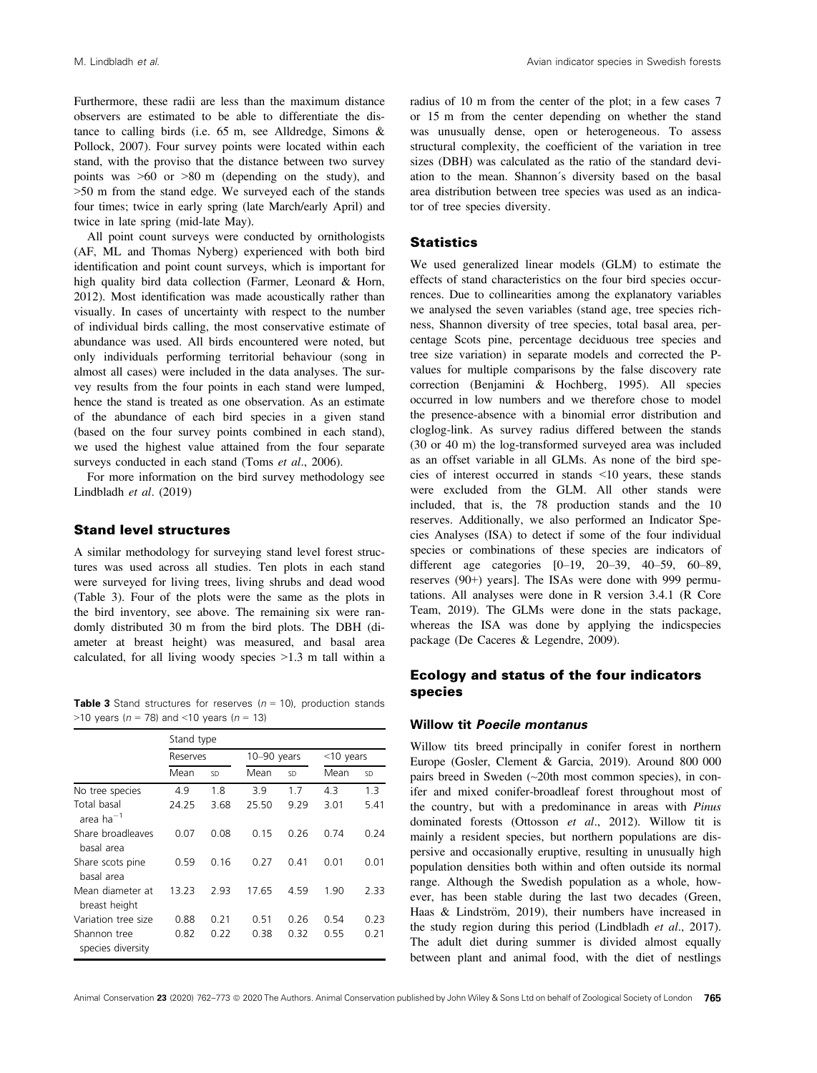Furthermore, these radii are less than the maximum distance observers are estimated to be able to differentiate the distance to calling birds (i.e. 65 m, see Alldredge, Simons & Pollock, 2007). Four survey points were located within each stand, with the proviso that the distance between two survey points was >60 or >80 m (depending on the study), and >50 m from the stand edge. We surveyed each of the stands four times; twice in early spring (late March/early April) and twice in late spring (mid-late May).

All point count surveys were conducted by ornithologists (AF, ML and Thomas Nyberg) experienced with both bird identification and point count surveys, which is important for high quality bird data collection (Farmer, Leonard & Horn, 2012). Most identification was made acoustically rather than visually. In cases of uncertainty with respect to the number of individual birds calling, the most conservative estimate of abundance was used. All birds encountered were noted, but only individuals performing territorial behaviour (song in almost all cases) were included in the data analyses. The survey results from the four points in each stand were lumped, hence the stand is treated as one observation. As an estimate of the abundance of each bird species in a given stand (based on the four survey points combined in each stand), we used the highest value attained from the four separate surveys conducted in each stand (Toms et al., 2006).

For more information on the bird survey methodology see Lindbladh et al. (2019)

#### Stand level structures

A similar methodology for surveying stand level forest structures was used across all studies. Ten plots in each stand were surveyed for living trees, living shrubs and dead wood (Table 3). Four of the plots were the same as the plots in the bird inventory, see above. The remaining six were randomly distributed 30 m from the bird plots. The DBH (diameter at breast height) was measured, and basal area calculated, for all living woody species >1.3 m tall within a

**Table 3** Stand structures for reserves ( $n = 10$ ), production stands  $>$ 10 years (n = 78) and <10 years (n = 13)

|                                   | Stand type |           |                 |      |      |              |  |  |  |
|-----------------------------------|------------|-----------|-----------------|------|------|--------------|--|--|--|
|                                   | Reserves   |           | $10 - 90$ years |      |      | $<$ 10 years |  |  |  |
|                                   | Mean       | <b>SD</b> | Mean            | SD   | Mean | SD           |  |  |  |
| No tree species                   | 4.9        | 1.8       | 3.9             | 1.7  | 4.3  | 1.3          |  |  |  |
| Total basal<br>area ha $^{-1}$    | 24.25      | 3.68      | 25.50           | 9.29 | 3.01 | 5.41         |  |  |  |
| Share broadleaves<br>basal area   | 0.07       | 0.08      | 0.15            | 0.26 | 0.74 | 0.24         |  |  |  |
| Share scots pine<br>basal area    | 0.59       | 0.16      | 0.27            | 0.41 | 0.01 | 0.01         |  |  |  |
| Mean diameter at<br>breast height | 13.23      | 2.93      | 17.65           | 4.59 | 1.90 | 2.33         |  |  |  |
| Variation tree size               | 0.88       | 0.21      | 0.51            | 0.26 | 0.54 | 0.23         |  |  |  |
| Shannon tree<br>species diversity | 0.82       | 0.22      | 0.38            | 0.32 | 0.55 | 0.21         |  |  |  |

radius of 10 m from the center of the plot; in a few cases 7 or 15 m from the center depending on whether the stand was unusually dense, open or heterogeneous. To assess structural complexity, the coefficient of the variation in tree sizes (DBH) was calculated as the ratio of the standard deviation to the mean. Shannon´s diversity based on the basal area distribution between tree species was used as an indicator of tree species diversity.

#### **Statistics**

We used generalized linear models (GLM) to estimate the effects of stand characteristics on the four bird species occurrences. Due to collinearities among the explanatory variables we analysed the seven variables (stand age, tree species richness, Shannon diversity of tree species, total basal area, percentage Scots pine, percentage deciduous tree species and tree size variation) in separate models and corrected the Pvalues for multiple comparisons by the false discovery rate correction (Benjamini & Hochberg, 1995). All species occurred in low numbers and we therefore chose to model the presence-absence with a binomial error distribution and cloglog-link. As survey radius differed between the stands (30 or 40 m) the log-transformed surveyed area was included as an offset variable in all GLMs. As none of the bird species of interest occurred in stands <10 years, these stands were excluded from the GLM. All other stands were included, that is, the 78 production stands and the 10 reserves. Additionally, we also performed an Indicator Species Analyses (ISA) to detect if some of the four individual species or combinations of these species are indicators of different age categories [0–19, 20–39, 40–59, 60–89, reserves (90+) years]. The ISAs were done with 999 permutations. All analyses were done in R version 3.4.1 (R Core Team, 2019). The GLMs were done in the stats package, whereas the ISA was done by applying the indicspecies package (De Caceres & Legendre, 2009).

### Ecology and status of the four indicators species

#### Willow tit Poecile montanus

Willow tits breed principally in conifer forest in northern Europe (Gosler, Clement & Garcia, 2019). Around 800 000 pairs breed in Sweden (~20th most common species), in conifer and mixed conifer-broadleaf forest throughout most of the country, but with a predominance in areas with Pinus dominated forests (Ottosson et al., 2012). Willow tit is mainly a resident species, but northern populations are dispersive and occasionally eruptive, resulting in unusually high population densities both within and often outside its normal range. Although the Swedish population as a whole, however, has been stable during the last two decades (Green, Haas & Lindström, 2019), their numbers have increased in the study region during this period (Lindbladh et al., 2017). The adult diet during summer is divided almost equally between plant and animal food, with the diet of nestlings

Animal Conservation 23 (2020) 762–773 @ 2020 The Authors. Animal Conservation published by John Wiley & Sons Ltd on behalf of Zoological Society of London 765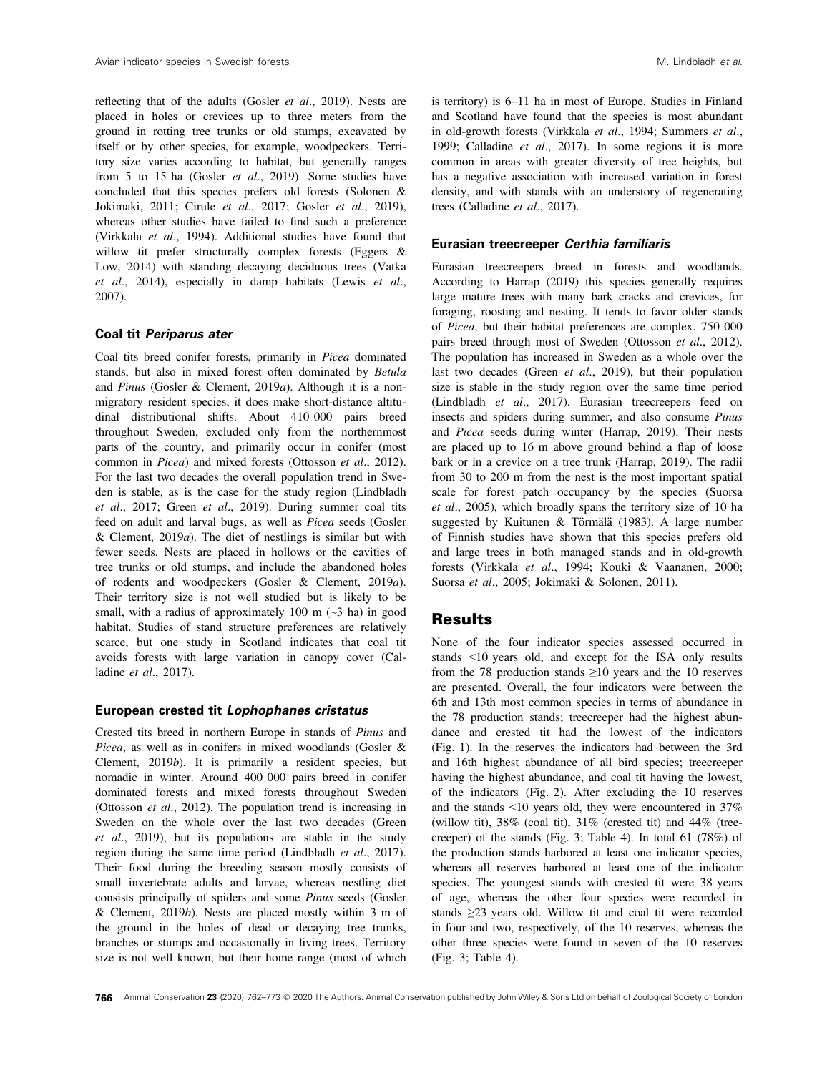reflecting that of the adults (Gosler et al., 2019). Nests are placed in holes or crevices up to three meters from the ground in rotting tree trunks or old stumps, excavated by itself or by other species, for example, woodpeckers. Territory size varies according to habitat, but generally ranges from 5 to 15 ha (Gosler et al., 2019). Some studies have concluded that this species prefers old forests (Solonen & Jokimaki, 2011; Cirule et al., 2017; Gosler et al., 2019), whereas other studies have failed to find such a preference (Virkkala et al., 1994). Additional studies have found that willow tit prefer structurally complex forests (Eggers & Low, 2014) with standing decaying deciduous trees (Vatka et al., 2014), especially in damp habitats (Lewis et al., 2007).

#### Coal tit Periparus ater

Coal tits breed conifer forests, primarily in Picea dominated stands, but also in mixed forest often dominated by Betula and Pinus (Gosler & Clement, 2019a). Although it is a nonmigratory resident species, it does make short-distance altitudinal distributional shifts. About 410 000 pairs breed throughout Sweden, excluded only from the northernmost parts of the country, and primarily occur in conifer (most common in Picea) and mixed forests (Ottosson et al., 2012). For the last two decades the overall population trend in Sweden is stable, as is the case for the study region (Lindbladh et al., 2017; Green et al., 2019). During summer coal tits feed on adult and larval bugs, as well as Picea seeds (Gosler & Clement,  $2019a$ ). The diet of nestlings is similar but with fewer seeds. Nests are placed in hollows or the cavities of tree trunks or old stumps, and include the abandoned holes of rodents and woodpeckers (Gosler & Clement, 2019a). Their territory size is not well studied but is likely to be small, with a radius of approximately 100 m  $(\sim$ 3 ha) in good habitat. Studies of stand structure preferences are relatively scarce, but one study in Scotland indicates that coal tit avoids forests with large variation in canopy cover (Calladine et al., 2017).

#### European crested tit Lophophanes cristatus

Crested tits breed in northern Europe in stands of Pinus and Picea, as well as in conifers in mixed woodlands (Gosler & Clement, 2019b). It is primarily a resident species, but nomadic in winter. Around 400 000 pairs breed in conifer dominated forests and mixed forests throughout Sweden (Ottosson et al., 2012). The population trend is increasing in Sweden on the whole over the last two decades (Green  $et \ al., 2019$ ), but its populations are stable in the study region during the same time period (Lindbladh et al., 2017). Their food during the breeding season mostly consists of small invertebrate adults and larvae, whereas nestling diet consists principally of spiders and some Pinus seeds (Gosler & Clement, 2019b). Nests are placed mostly within 3 m of the ground in the holes of dead or decaying tree trunks, branches or stumps and occasionally in living trees. Territory size is not well known, but their home range (most of which is territory) is 6–11 ha in most of Europe. Studies in Finland and Scotland have found that the species is most abundant in old-growth forests (Virkkala et al., 1994; Summers et al., 1999; Calladine et al., 2017). In some regions it is more common in areas with greater diversity of tree heights, but has a negative association with increased variation in forest density, and with stands with an understory of regenerating trees (Calladine et al., 2017).

#### Eurasian treecreeper Certhia familiaris

Eurasian treecreepers breed in forests and woodlands. According to Harrap (2019) this species generally requires large mature trees with many bark cracks and crevices, for foraging, roosting and nesting. It tends to favor older stands of Picea, but their habitat preferences are complex. 750 000 pairs breed through most of Sweden (Ottosson et al., 2012). The population has increased in Sweden as a whole over the last two decades (Green et al., 2019), but their population size is stable in the study region over the same time period (Lindbladh et al., 2017). Eurasian treecreepers feed on insects and spiders during summer, and also consume Pinus and Picea seeds during winter (Harrap, 2019). Their nests are placed up to 16 m above ground behind a flap of loose bark or in a crevice on a tree trunk (Harrap, 2019). The radii from 30 to 200 m from the nest is the most important spatial scale for forest patch occupancy by the species (Suorsa et al., 2005), which broadly spans the territory size of 10 ha suggested by Kuitunen & Törmälä (1983). A large number of Finnish studies have shown that this species prefers old and large trees in both managed stands and in old-growth forests (Virkkala et al., 1994; Kouki & Vaananen, 2000; Suorsa et al., 2005; Jokimaki & Solonen, 2011).

## **Results**

None of the four indicator species assessed occurred in stands <10 years old, and except for the ISA only results from the 78 production stands  $\geq 10$  years and the 10 reserves are presented. Overall, the four indicators were between the 6th and 13th most common species in terms of abundance in the 78 production stands; treecreeper had the highest abundance and crested tit had the lowest of the indicators (Fig. 1). In the reserves the indicators had between the 3rd and 16th highest abundance of all bird species; treecreeper having the highest abundance, and coal tit having the lowest, of the indicators (Fig. 2). After excluding the 10 reserves and the stands <10 years old, they were encountered in 37% (willow tit), 38% (coal tit), 31% (crested tit) and 44% (treecreeper) of the stands (Fig. 3; Table 4). In total 61 (78%) of the production stands harbored at least one indicator species, whereas all reserves harbored at least one of the indicator species. The youngest stands with crested tit were 38 years of age, whereas the other four species were recorded in stands ≥23 years old. Willow tit and coal tit were recorded in four and two, respectively, of the 10 reserves, whereas the other three species were found in seven of the 10 reserves (Fig. 3; Table 4).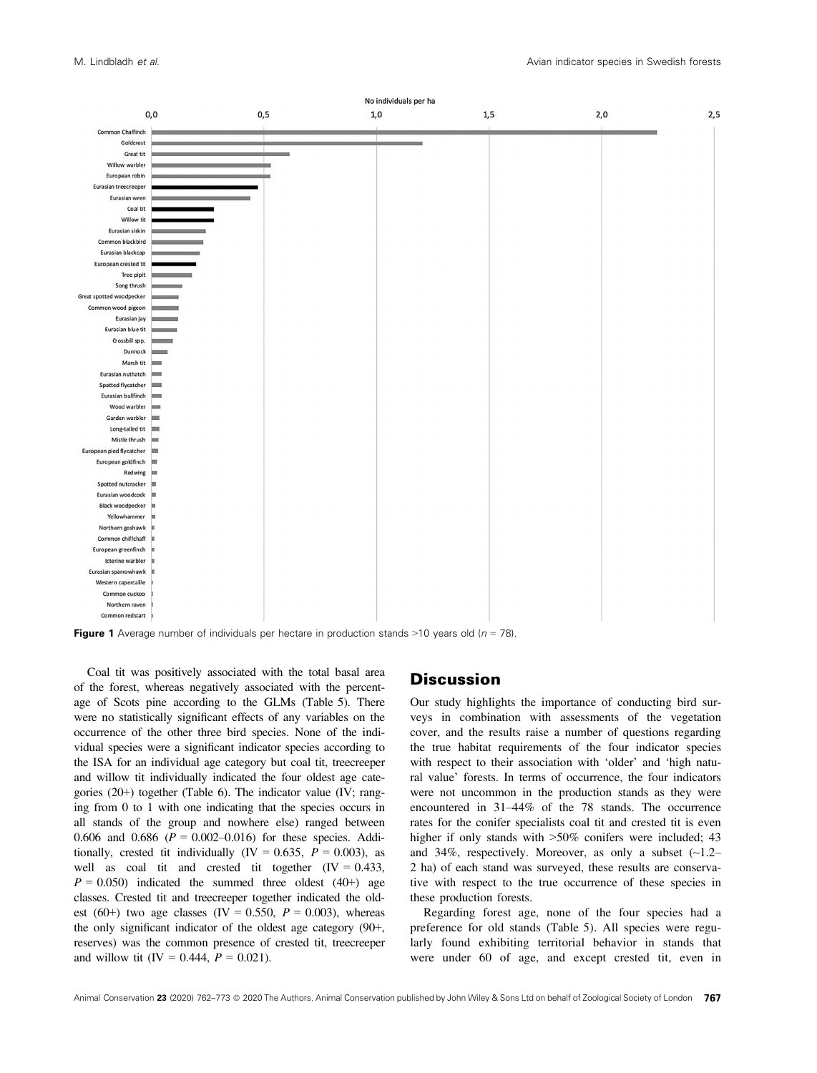

**Figure 1** Average number of individuals per hectare in production stands >10 years old ( $n = 78$ ).

Coal tit was positively associated with the total basal area of the forest, whereas negatively associated with the percentage of Scots pine according to the GLMs (Table 5). There were no statistically significant effects of any variables on the occurrence of the other three bird species. None of the individual species were a significant indicator species according to the ISA for an individual age category but coal tit, treecreeper and willow tit individually indicated the four oldest age categories (20+) together (Table 6). The indicator value (IV; ranging from 0 to 1 with one indicating that the species occurs in all stands of the group and nowhere else) ranged between 0.606 and 0.686 ( $P = 0.002 - 0.016$ ) for these species. Additionally, crested tit individually (IV = 0.635,  $P = 0.003$ ), as well as coal tit and crested tit together  $(IV = 0.433, ...)$  $P = 0.050$ ) indicated the summed three oldest (40+) age classes. Crested tit and treecreeper together indicated the oldest (60+) two age classes (IV = 0.550,  $P = 0.003$ ), whereas the only significant indicator of the oldest age category (90+, reserves) was the common presence of crested tit, treecreeper and willow tit (IV = 0.444,  $P = 0.021$ ).

### **Discussion**

Our study highlights the importance of conducting bird surveys in combination with assessments of the vegetation cover, and the results raise a number of questions regarding the true habitat requirements of the four indicator species with respect to their association with 'older' and 'high natural value' forests. In terms of occurrence, the four indicators were not uncommon in the production stands as they were encountered in 31–44% of the 78 stands. The occurrence rates for the conifer specialists coal tit and crested tit is even higher if only stands with  $>50\%$  conifers were included; 43 and 34%, respectively. Moreover, as only a subset  $(-1.2-$ 2 ha) of each stand was surveyed, these results are conservative with respect to the true occurrence of these species in these production forests.

Regarding forest age, none of the four species had a preference for old stands (Table 5). All species were regularly found exhibiting territorial behavior in stands that were under 60 of age, and except crested tit, even in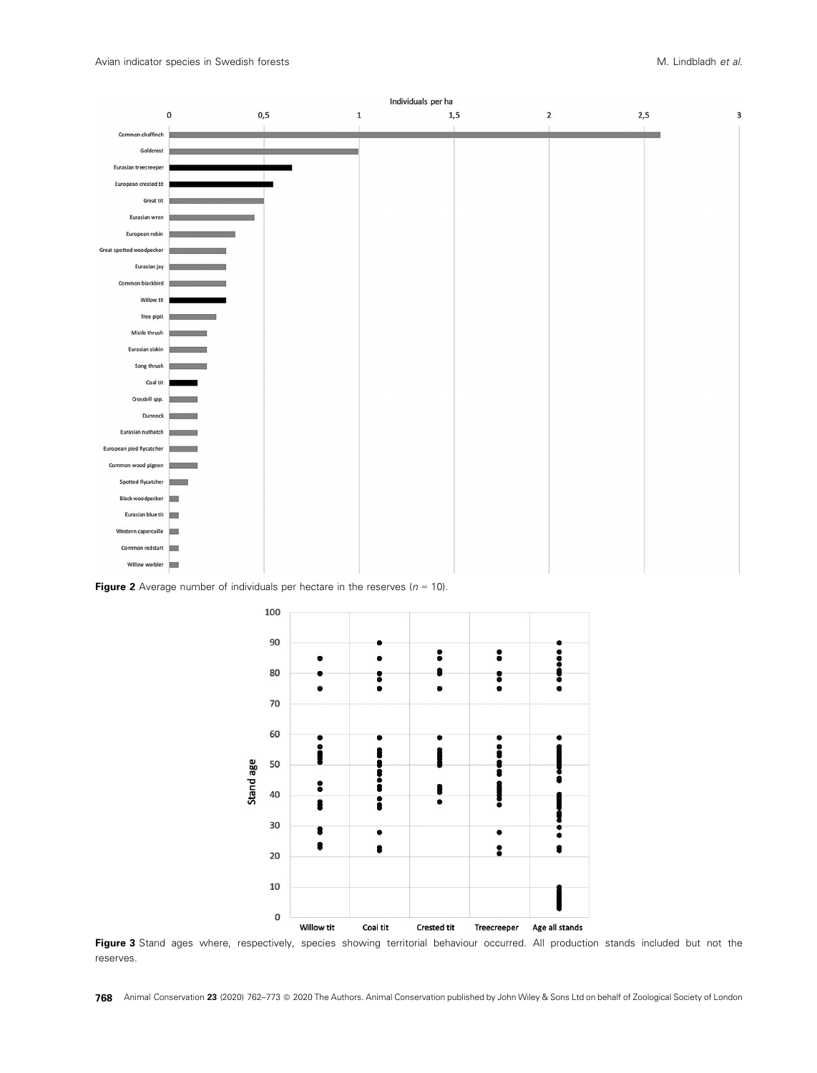

**Figure 2** Average number of individuals per hectare in the reserves ( $n = 10$ ).



Figure 3 Stand ages where, respectively, species showing territorial behaviour occurred. All production stands included but not the reserves.

768 Animal Conservation 23 (2020) 762-773 @ 2020 The Authors. Animal Conservation published by John Wiley & Sons Ltd on behalf of Zoological Society of London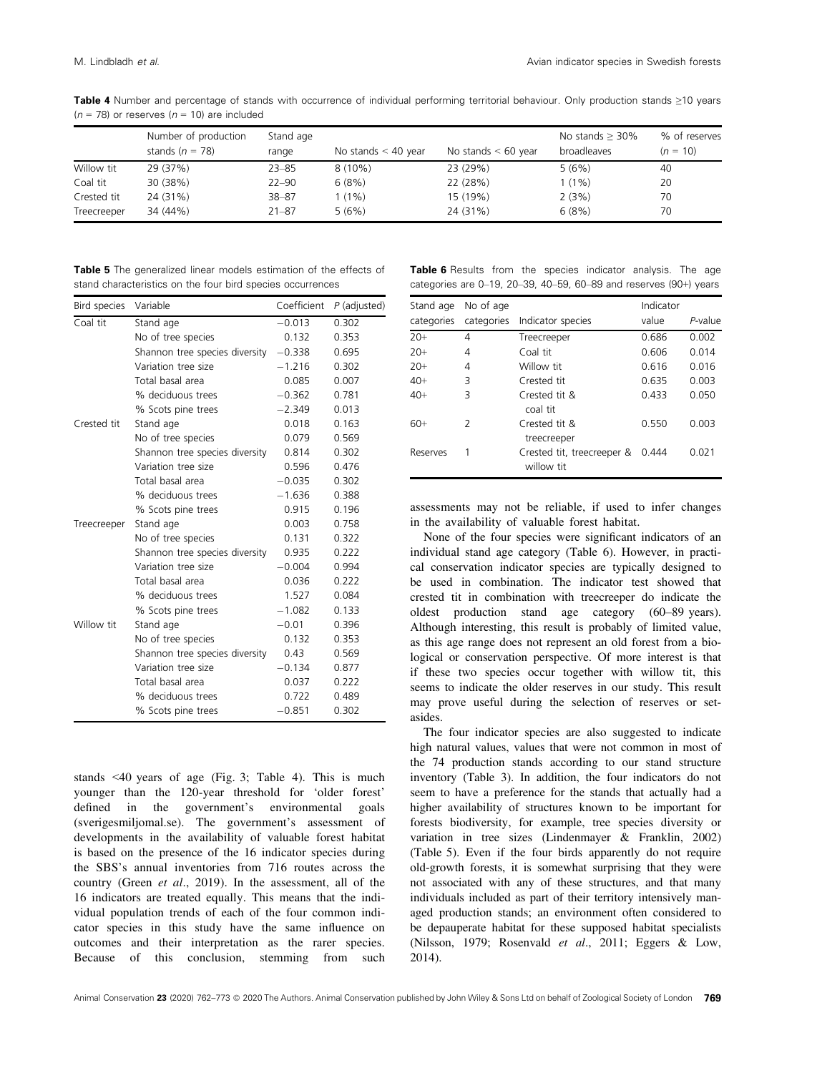| <b>Table 4</b> Number and percentage of stands with occurrence of individual performing territorial behaviour. Only production stands $\geq$ 10 years |  |  |  |  |  |  |
|-------------------------------------------------------------------------------------------------------------------------------------------------------|--|--|--|--|--|--|
| $(n = 78)$ or reserves $(n = 10)$ are included                                                                                                        |  |  |  |  |  |  |

|             | Number of production<br>stands ( $n = 78$ ) | Stand age<br>range | No stands $<$ 40 year | No stands $<$ 60 year | No stands $\geq$ 30%<br>broadleaves | % of reserves<br>$(n = 10)$ |
|-------------|---------------------------------------------|--------------------|-----------------------|-----------------------|-------------------------------------|-----------------------------|
| Willow tit  | 29 (37%)                                    | $23 - 85$          | $8(10\%)$             | 23 (29%)              | 5(6%)                               | 40                          |
| Coal tit    | 30 (38%)                                    | $22 - 90$          | 6(8%)                 | 22 (28%)              | 1 (1%)                              | 20                          |
| Crested tit | 24 (31%)                                    | $38 - 87$          | $(1\%)$               | 15 (19%)              | 2(3%)                               | 70                          |
| Treecreeper | 34 (44%)                                    | $21 - 87$          | 5(6%)                 | 24 (31%)              | 6(8%)                               | 70                          |

Table 5 The generalized linear models estimation of the effects of stand characteristics on the four bird species occurrences

| Variable            | Coefficient | $P$ (adjusted)                                                                                                                                |
|---------------------|-------------|-----------------------------------------------------------------------------------------------------------------------------------------------|
| Stand age           | $-0.013$    | 0.302                                                                                                                                         |
| No of tree species  | 0.132       | 0.353                                                                                                                                         |
|                     |             | 0.695                                                                                                                                         |
| Variation tree size | $-1.216$    | 0.302                                                                                                                                         |
| Total basal area    | 0.085       | 0.007                                                                                                                                         |
| % deciduous trees   | $-0.362$    | 0.781                                                                                                                                         |
| % Scots pine trees  | $-2.349$    | 0.013                                                                                                                                         |
| Stand age           | 0.018       | 0.163                                                                                                                                         |
| No of tree species  | 0.079       | 0.569                                                                                                                                         |
|                     | 0.814       | 0.302                                                                                                                                         |
| Variation tree size | 0.596       | 0.476                                                                                                                                         |
| Total basal area    | $-0.035$    | 0.302                                                                                                                                         |
| % deciduous trees   | $-1.636$    | 0.388                                                                                                                                         |
| % Scots pine trees  | 0.915       | 0.196                                                                                                                                         |
| Stand age           | 0.003       | 0.758                                                                                                                                         |
| No of tree species  | 0.131       | 0.322                                                                                                                                         |
|                     | 0.935       | 0.222                                                                                                                                         |
| Variation tree size | $-0.004$    | 0.994                                                                                                                                         |
| Total basal area    | 0.036       | 0.222                                                                                                                                         |
| % deciduous trees   | 1.527       | 0.084                                                                                                                                         |
| % Scots pine trees  | $-1.082$    | 0.133                                                                                                                                         |
| Stand age           | $-0.01$     | 0.396                                                                                                                                         |
| No of tree species  | 0.132       | 0.353                                                                                                                                         |
|                     | 0.43        | 0.569                                                                                                                                         |
| Variation tree size | $-0.134$    | 0.877                                                                                                                                         |
| Total basal area    | 0.037       | 0.222                                                                                                                                         |
| % deciduous trees   | 0.722       | 0.489                                                                                                                                         |
| % Scots pine trees  | $-0.851$    | 0.302                                                                                                                                         |
|                     |             | Shannon tree species diversity $-0.338$<br>Shannon tree species diversity<br>Shannon tree species diversity<br>Shannon tree species diversity |

stands <40 years of age (Fig. 3; Table 4). This is much younger than the 120-year threshold for 'older forest' defined in the government's environmental goals (sverigesmiljomal.se). The government's assessment of developments in the availability of valuable forest habitat is based on the presence of the 16 indicator species during the SBS's annual inventories from 716 routes across the country (Green et al., 2019). In the assessment, all of the 16 indicators are treated equally. This means that the individual population trends of each of the four common indicator species in this study have the same influence on outcomes and their interpretation as the rarer species. Because of this conclusion, stemming from such

| Table 6 Results from the species indicator analysis. The age      |  |  |  |  |
|-------------------------------------------------------------------|--|--|--|--|
| categories are 0-19, 20-39, 40-59, 60-89 and reserves (90+) years |  |  |  |  |

| Stand age  | No of age  |                                          | Indicator |         |
|------------|------------|------------------------------------------|-----------|---------|
| categories | categories | Indicator species                        | value     | P-value |
| $20+$      | 4          | Treecreeper                              | 0.686     | 0.002   |
| $20+$      | 4          | $C$ oal tit                              | 0.606     | 0.014   |
| $20+$      | 4          | Willow tit                               | 0.616     | 0.016   |
| $40+$      | 3          | Crested tit                              | 0.635     | 0.003   |
| $40+$      | 3          | Crested tit &<br>coal tit                | 0.433     | 0.050   |
| $60+$      | 2          | Crested tit &<br>treecreeper             | 0.550     | 0.003   |
| Reserves   |            | Crested tit, treecreeper &<br>willow tit | 0.444     | 0.021   |

assessments may not be reliable, if used to infer changes in the availability of valuable forest habitat.

None of the four species were significant indicators of an individual stand age category (Table 6). However, in practical conservation indicator species are typically designed to be used in combination. The indicator test showed that crested tit in combination with treecreeper do indicate the oldest production stand age category (60–89 years). Although interesting, this result is probably of limited value, as this age range does not represent an old forest from a biological or conservation perspective. Of more interest is that if these two species occur together with willow tit, this seems to indicate the older reserves in our study. This result may prove useful during the selection of reserves or setasides.

The four indicator species are also suggested to indicate high natural values, values that were not common in most of the 74 production stands according to our stand structure inventory (Table 3). In addition, the four indicators do not seem to have a preference for the stands that actually had a higher availability of structures known to be important for forests biodiversity, for example, tree species diversity or variation in tree sizes (Lindenmayer & Franklin, 2002) (Table 5). Even if the four birds apparently do not require old-growth forests, it is somewhat surprising that they were not associated with any of these structures, and that many individuals included as part of their territory intensively managed production stands; an environment often considered to be depauperate habitat for these supposed habitat specialists (Nilsson, 1979; Rosenvald et al., 2011; Eggers & Low, 2014).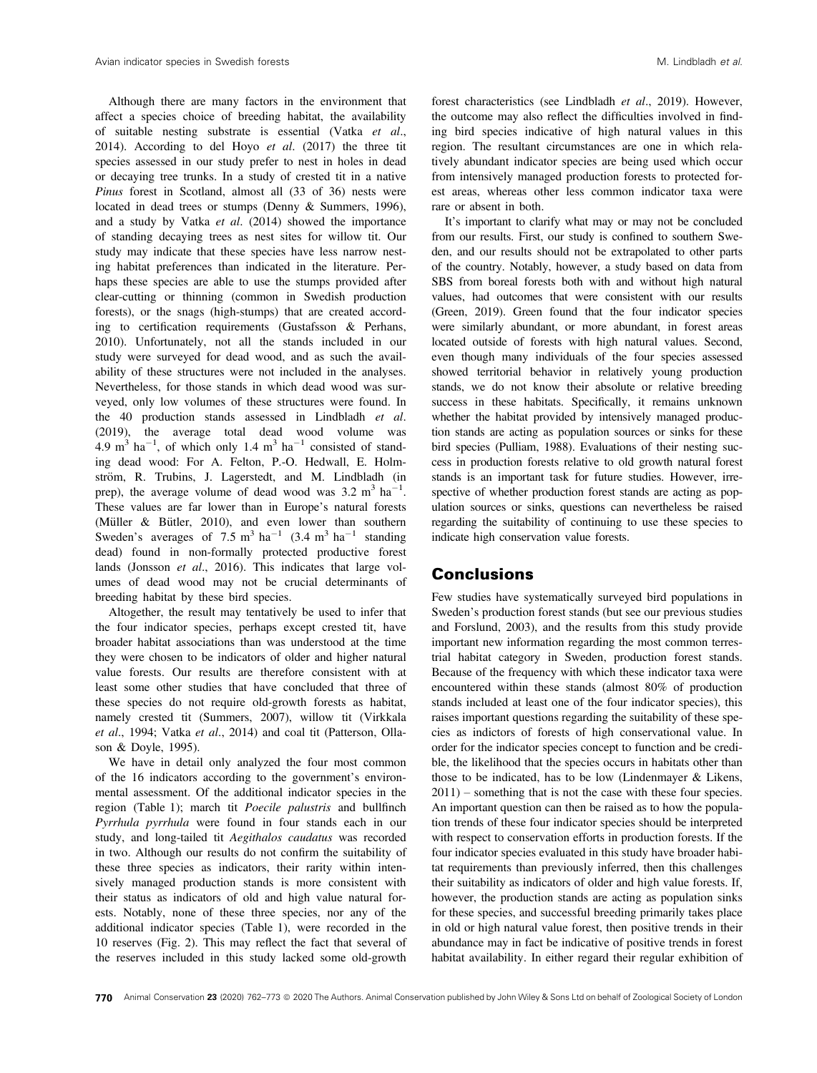Although there are many factors in the environment that affect a species choice of breeding habitat, the availability of suitable nesting substrate is essential (Vatka et al., 2014). According to del Hoyo et al.  $(2017)$  the three tit species assessed in our study prefer to nest in holes in dead or decaying tree trunks. In a study of crested tit in a native Pinus forest in Scotland, almost all (33 of 36) nests were located in dead trees or stumps (Denny & Summers, 1996), and a study by Vatka et al. (2014) showed the importance of standing decaying trees as nest sites for willow tit. Our study may indicate that these species have less narrow nesting habitat preferences than indicated in the literature. Perhaps these species are able to use the stumps provided after clear-cutting or thinning (common in Swedish production forests), or the snags (high-stumps) that are created according to certification requirements (Gustafsson & Perhans, 2010). Unfortunately, not all the stands included in our study were surveyed for dead wood, and as such the availability of these structures were not included in the analyses. Nevertheless, for those stands in which dead wood was surveyed, only low volumes of these structures were found. In the 40 production stands assessed in Lindbladh et al. (2019), the average total dead wood volume was 4.9 m<sup>3</sup> ha<sup>-1</sup>, of which only 1.4 m<sup>3</sup> ha<sup>-1</sup> consisted of standing dead wood: For A. Felton, P.-O. Hedwall, E. Holmström, R. Trubins, J. Lagerstedt, and M. Lindbladh (in prep), the average volume of dead wood was  $3.2 \text{ m}^3 \text{ ha}^{-1}$ . These values are far lower than in Europe's natural forests (Müller  $\&$  Bütler, 2010), and even lower than southern Sweden's averages of  $7.5 \text{ m}^3 \text{ ha}^{-1}$   $(3.4 \text{ m}^3 \text{ ha}^{-1}$  standing dead) found in non-formally protected productive forest lands (Jonsson et al., 2016). This indicates that large volumes of dead wood may not be crucial determinants of breeding habitat by these bird species.

Altogether, the result may tentatively be used to infer that the four indicator species, perhaps except crested tit, have broader habitat associations than was understood at the time they were chosen to be indicators of older and higher natural value forests. Our results are therefore consistent with at least some other studies that have concluded that three of these species do not require old-growth forests as habitat, namely crested tit (Summers, 2007), willow tit (Virkkala et al., 1994; Vatka et al., 2014) and coal tit (Patterson, Ollason & Doyle, 1995).

We have in detail only analyzed the four most common of the 16 indicators according to the government's environmental assessment. Of the additional indicator species in the region (Table 1); march tit Poecile palustris and bullfinch Pyrrhula pyrrhula were found in four stands each in our study, and long-tailed tit Aegithalos caudatus was recorded in two. Although our results do not confirm the suitability of these three species as indicators, their rarity within intensively managed production stands is more consistent with their status as indicators of old and high value natural forests. Notably, none of these three species, nor any of the additional indicator species (Table 1), were recorded in the 10 reserves (Fig. 2). This may reflect the fact that several of the reserves included in this study lacked some old-growth

forest characteristics (see Lindbladh et al., 2019). However, the outcome may also reflect the difficulties involved in finding bird species indicative of high natural values in this region. The resultant circumstances are one in which relatively abundant indicator species are being used which occur from intensively managed production forests to protected forest areas, whereas other less common indicator taxa were rare or absent in both.

It's important to clarify what may or may not be concluded from our results. First, our study is confined to southern Sweden, and our results should not be extrapolated to other parts of the country. Notably, however, a study based on data from SBS from boreal forests both with and without high natural values, had outcomes that were consistent with our results (Green, 2019). Green found that the four indicator species were similarly abundant, or more abundant, in forest areas located outside of forests with high natural values. Second, even though many individuals of the four species assessed showed territorial behavior in relatively young production stands, we do not know their absolute or relative breeding success in these habitats. Specifically, it remains unknown whether the habitat provided by intensively managed production stands are acting as population sources or sinks for these bird species (Pulliam, 1988). Evaluations of their nesting success in production forests relative to old growth natural forest stands is an important task for future studies. However, irrespective of whether production forest stands are acting as population sources or sinks, questions can nevertheless be raised regarding the suitability of continuing to use these species to indicate high conservation value forests.

### Conclusions

Few studies have systematically surveyed bird populations in Sweden's production forest stands (but see our previous studies and Forslund, 2003), and the results from this study provide important new information regarding the most common terrestrial habitat category in Sweden, production forest stands. Because of the frequency with which these indicator taxa were encountered within these stands (almost 80% of production stands included at least one of the four indicator species), this raises important questions regarding the suitability of these species as indictors of forests of high conservational value. In order for the indicator species concept to function and be credible, the likelihood that the species occurs in habitats other than those to be indicated, has to be low (Lindenmayer & Likens, 2011) – something that is not the case with these four species. An important question can then be raised as to how the population trends of these four indicator species should be interpreted with respect to conservation efforts in production forests. If the four indicator species evaluated in this study have broader habitat requirements than previously inferred, then this challenges their suitability as indicators of older and high value forests. If, however, the production stands are acting as population sinks for these species, and successful breeding primarily takes place in old or high natural value forest, then positive trends in their abundance may in fact be indicative of positive trends in forest habitat availability. In either regard their regular exhibition of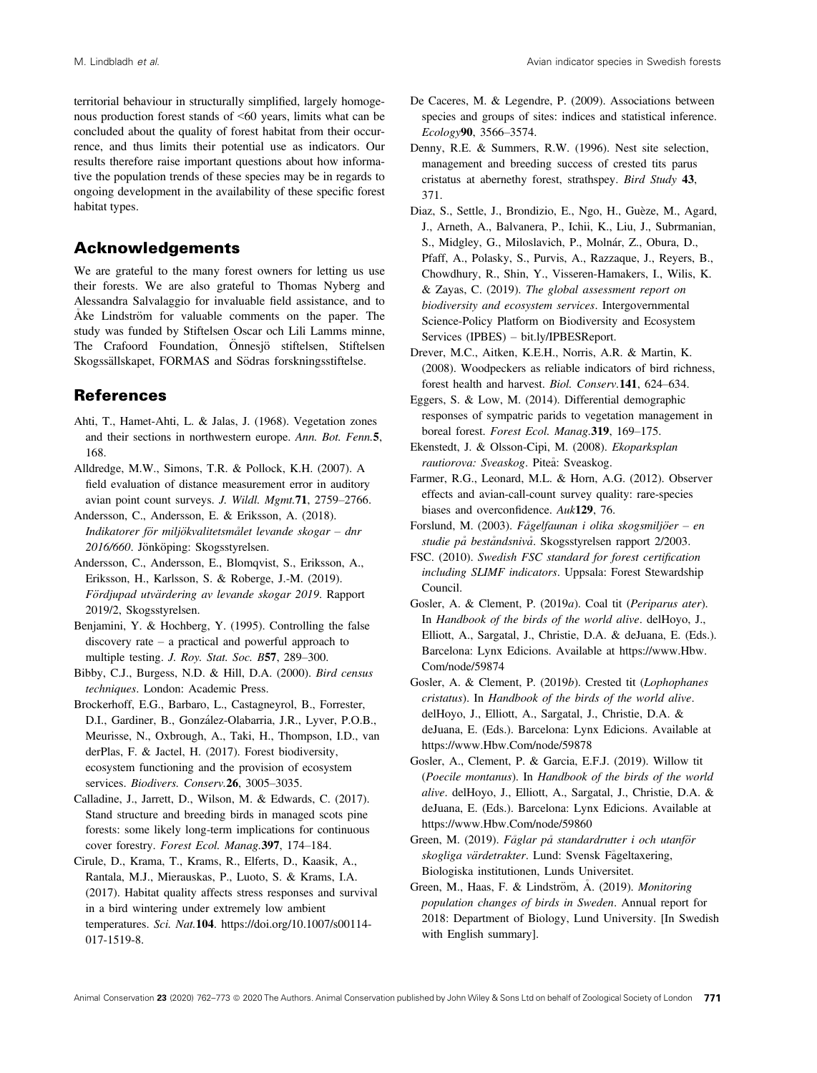territorial behaviour in structurally simplified, largely homogenous production forest stands of <60 years, limits what can be concluded about the quality of forest habitat from their occurrence, and thus limits their potential use as indicators. Our results therefore raise important questions about how informative the population trends of these species may be in regards to ongoing development in the availability of these specific forest habitat types.

# Acknowledgements

We are grateful to the many forest owners for letting us use their forests. We are also grateful to Thomas Nyberg and Alessandra Salvalaggio for invaluable field assistance, and to Åke Lindström for valuable comments on the paper. The study was funded by Stiftelsen Oscar och Lili Lamms minne, The Crafoord Foundation, Onnesjö stiftelsen, Stiftelsen Skogssällskapet, FORMAS and Södras forskningsstiftelse.

### References

- Ahti, T., Hamet-Ahti, L. & Jalas, J. (1968). Vegetation zones and their sections in northwestern europe. Ann. Bot. Fenn.5, 168.
- Alldredge, M.W., Simons, T.R. & Pollock, K.H. (2007). A field evaluation of distance measurement error in auditory avian point count surveys. J. Wildl. Mgmt.71, 2759–2766.

Andersson, C., Andersson, E. & Eriksson, A. (2018). Indikatorer för miljökvalitetsmålet levande skogar – dnr 2016/660. Jönköping: Skogsstyrelsen.

- Andersson, C., Andersson, E., Blomqvist, S., Eriksson, A., Eriksson, H., Karlsson, S. & Roberge, J.-M. (2019). Fördjupad utvärdering av levande skogar 2019. Rapport 2019/2, Skogsstyrelsen.
- Benjamini, Y. & Hochberg, Y. (1995). Controlling the false discovery rate – a practical and powerful approach to multiple testing. J. Roy. Stat. Soc. B57, 289–300.
- Bibby, C.J., Burgess, N.D. & Hill, D.A. (2000). Bird census techniques. London: Academic Press.
- Brockerhoff, E.G., Barbaro, L., Castagneyrol, B., Forrester, D.I., Gardiner, B., González-Olabarria, J.R., Lyver, P.O.B., Meurisse, N., Oxbrough, A., Taki, H., Thompson, I.D., van derPlas, F. & Jactel, H. (2017). Forest biodiversity, ecosystem functioning and the provision of ecosystem services. Biodivers. Conserv.26, 3005-3035.

Calladine, J., Jarrett, D., Wilson, M. & Edwards, C. (2017). Stand structure and breeding birds in managed scots pine forests: some likely long-term implications for continuous cover forestry. Forest Ecol. Manag.397, 174–184.

Cirule, D., Krama, T., Krams, R., Elferts, D., Kaasik, A., Rantala, M.J., Mierauskas, P., Luoto, S. & Krams, I.A. (2017). Habitat quality affects stress responses and survival in a bird wintering under extremely low ambient temperatures. Sci. Nat.104. [https://doi.org/10.1007/s00114-](https://doi.org/10.1007/s00114-017-1519-8) [017-1519-8.](https://doi.org/10.1007/s00114-017-1519-8)

- De Caceres, M. & Legendre, P. (2009). Associations between species and groups of sites: indices and statistical inference. Ecology90, 3566–3574.
- Denny, R.E. & Summers, R.W. (1996). Nest site selection, management and breeding success of crested tits parus cristatus at abernethy forest, strathspey. Bird Study 43, 371.
- Diaz, S., Settle, J., Brondizio, E., Ngo, H., Guèze, M., Agard, J., Arneth, A., Balvanera, P., Ichii, K., Liu, J., Subrmanian, S., Midgley, G., Miloslavich, P., Molnár, Z., Obura, D., Pfaff, A., Polasky, S., Purvis, A., Razzaque, J., Reyers, B., Chowdhury, R., Shin, Y., Visseren-Hamakers, I., Wilis, K. & Zayas, C. (2019). The global assessment report on biodiversity and ecosystem services. Intergovernmental Science-Policy Platform on Biodiversity and Ecosystem Services (IPBES) – bit.ly/IPBESReport.
- Drever, M.C., Aitken, K.E.H., Norris, A.R. & Martin, K. (2008). Woodpeckers as reliable indicators of bird richness, forest health and harvest. Biol. Conserv.141, 624–634.
- Eggers, S. & Low, M. (2014). Differential demographic responses of sympatric parids to vegetation management in boreal forest. Forest Ecol. Manag.319, 169–175.
- Ekenstedt, J. & Olsson-Cipi, M. (2008). Ekoparksplan rautiorova: Sveaskog. Piteå: Sveaskog.
- Farmer, R.G., Leonard, M.L. & Horn, A.G. (2012). Observer effects and avian-call-count survey quality: rare-species biases and overconfidence. Auk129, 76.
- Forslund, M. (2003). Fågelfaunan i olika skogsmiljöer en studie på beståndsnivå. Skogsstyrelsen rapport 2/2003.
- FSC. (2010). Swedish FSC standard for forest certification including SLIMF indicators. Uppsala: Forest Stewardship Council.
- Gosler, A. & Clement, P. (2019a). Coal tit (Periparus ater). In Handbook of the birds of the world alive. delHoyo, J., Elliott, A., Sargatal, J., Christie, D.A. & deJuana, E. (Eds.). Barcelona: Lynx Edicions. Available at [https://www.Hbw.](https://www.Hbw.Com/node/59874) [Com/node/59874](https://www.Hbw.Com/node/59874)
- Gosler, A. & Clement, P. (2019b). Crested tit (Lophophanes cristatus). In Handbook of the birds of the world alive. delHoyo, J., Elliott, A., Sargatal, J., Christie, D.A. & deJuana, E. (Eds.). Barcelona: Lynx Edicions. Available at <https://www.Hbw.Com/node/59878>
- Gosler, A., Clement, P. & Garcia, E.F.J. (2019). Willow tit (Poecile montanus). In Handbook of the birds of the world alive. delHoyo, J., Elliott, A., Sargatal, J., Christie, D.A. & deJuana, E. (Eds.). Barcelona: Lynx Edicions. Available at <https://www.Hbw.Com/node/59860>
- Green, M. (2019). Fåglar på standardrutter i och utanför skogliga värdetrakter. Lund: Svensk Fågeltaxering, Biologiska institutionen, Lunds Universitet.
- Green, M., Haas, F. & Lindström, A. (2019). Monitoring population changes of birds in Sweden. Annual report for 2018: Department of Biology, Lund University. [In Swedish with English summary].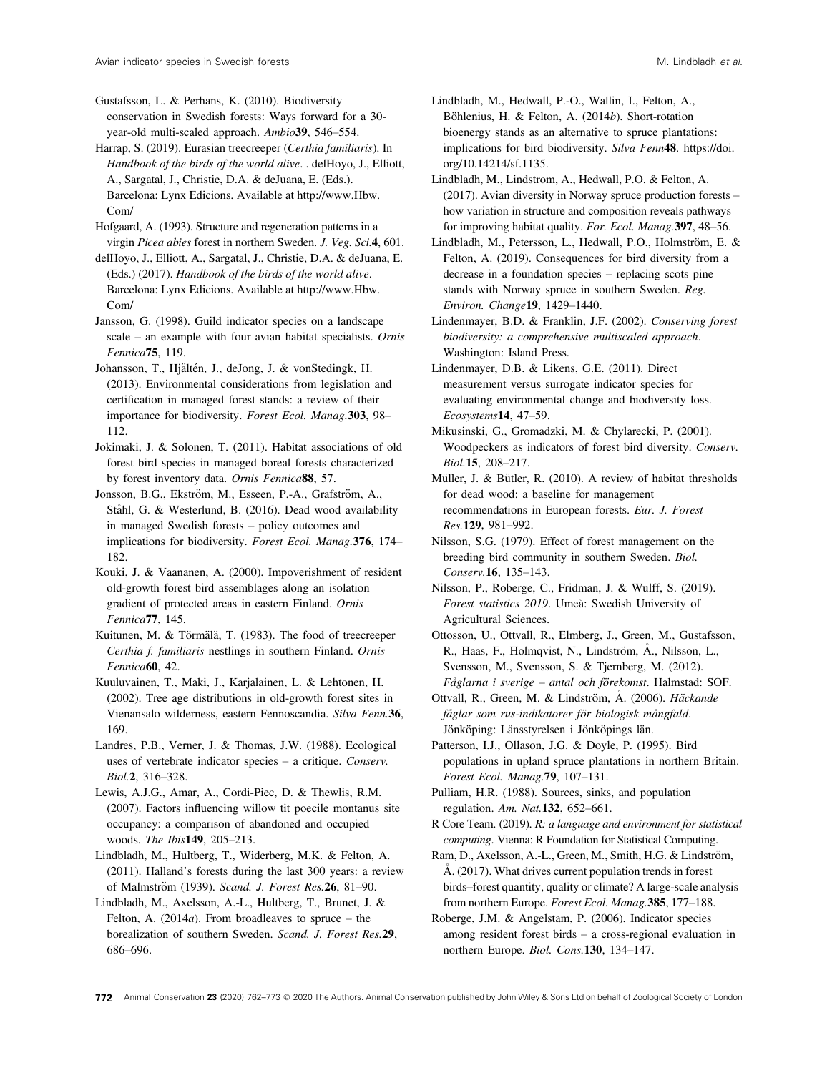Gustafsson, L. & Perhans, K. (2010). Biodiversity conservation in Swedish forests: Ways forward for a 30 year-old multi-scaled approach. Ambio39, 546–554.

Harrap, S. (2019). Eurasian treecreeper (Certhia familiaris). In Handbook of the birds of the world alive. . delHoyo, J., Elliott, A., Sargatal, J., Christie, D.A. & deJuana, E. (Eds.). Barcelona: Lynx Edicions. Available at [http://www.Hbw.](http://www.Hbw.Com/) [Com/](http://www.Hbw.Com/)

Hofgaard, A. (1993). Structure and regeneration patterns in a virgin Picea abies forest in northern Sweden. J. Veg. Sci.4, 601.

delHoyo, J., Elliott, A., Sargatal, J., Christie, D.A. & deJuana, E. (Eds.) (2017). Handbook of the birds of the world alive. Barcelona: Lynx Edicions. Available at [http://www.Hbw.](http://www.Hbw.Com/) [Com/](http://www.Hbw.Com/)

Jansson, G. (1998). Guild indicator species on a landscape scale – an example with four avian habitat specialists. Ornis Fennica75, 119.

Johansson, T., Hjältén, J., deJong, J. & vonStedingk, H. (2013). Environmental considerations from legislation and certification in managed forest stands: a review of their importance for biodiversity. Forest Ecol. Manag.303, 98– 112.

Jokimaki, J. & Solonen, T. (2011). Habitat associations of old forest bird species in managed boreal forests characterized by forest inventory data. Ornis Fennica88, 57.

Jonsson, B.G., Ekström, M., Esseen, P.-A., Grafström, A., Ståhl, G. & Westerlund, B. (2016). Dead wood availability in managed Swedish forests – policy outcomes and implications for biodiversity. Forest Ecol. Manag.376, 174– 182.

Kouki, J. & Vaananen, A. (2000). Impoverishment of resident old-growth forest bird assemblages along an isolation gradient of protected areas in eastern Finland. Ornis Fennica77, 145.

Kuitunen, M. & Törmälä, T. (1983). The food of treecreeper Certhia f. familiaris nestlings in southern Finland. Ornis Fennica60, 42.

Kuuluvainen, T., Maki, J., Karjalainen, L. & Lehtonen, H. (2002). Tree age distributions in old-growth forest sites in Vienansalo wilderness, eastern Fennoscandia. Silva Fenn.36, 169.

Landres, P.B., Verner, J. & Thomas, J.W. (1988). Ecological uses of vertebrate indicator species – a critique. Conserv. Biol.2, 316–328.

Lewis, A.J.G., Amar, A., Cordi-Piec, D. & Thewlis, R.M. (2007). Factors influencing willow tit poecile montanus site occupancy: a comparison of abandoned and occupied woods. The Ibis149, 205–213.

Lindbladh, M., Hultberg, T., Widerberg, M.K. & Felton, A. (2011). Halland's forests during the last 300 years: a review of Malmström (1939). Scand. J. Forest Res.26, 81-90.

Lindbladh, M., Axelsson, A.-L., Hultberg, T., Brunet, J. & Felton, A.  $(2014a)$ . From broadleaves to spruce – the borealization of southern Sweden. Scand. J. Forest Res.29, 686–696.

Lindbladh, M., Hedwall, P.-O., Wallin, I., Felton, A., Böhlenius, H. & Felton, A. (2014b). Short-rotation bioenergy stands as an alternative to spruce plantations: implications for bird biodiversity. Silva Fenn48. [https://doi.](https://doi.org/10.14214/sf.1135) [org/10.14214/sf.1135.](https://doi.org/10.14214/sf.1135)

Lindbladh, M., Lindstrom, A., Hedwall, P.O. & Felton, A. (2017). Avian diversity in Norway spruce production forests – how variation in structure and composition reveals pathways for improving habitat quality. For. Ecol. Manag.397, 48–56.

Lindbladh, M., Petersson, L., Hedwall, P.O., Holmström, E. & Felton, A. (2019). Consequences for bird diversity from a decrease in a foundation species – replacing scots pine stands with Norway spruce in southern Sweden. Reg. Environ. Change19, 1429–1440.

Lindenmayer, B.D. & Franklin, J.F. (2002). Conserving forest biodiversity: a comprehensive multiscaled approach. Washington: Island Press.

Lindenmayer, D.B. & Likens, G.E. (2011). Direct measurement versus surrogate indicator species for evaluating environmental change and biodiversity loss. Ecosystems14, 47–59.

Mikusinski, G., Gromadzki, M. & Chylarecki, P. (2001). Woodpeckers as indicators of forest bird diversity. Conserv. Biol.15, 208–217.

Müller, J. & Bütler, R. (2010). A review of habitat thresholds for dead wood: a baseline for management recommendations in European forests. Eur. J. Forest Res.129, 981–992.

Nilsson, S.G. (1979). Effect of forest management on the breeding bird community in southern Sweden. Biol. Conserv.16, 135–143.

Nilsson, P., Roberge, C., Fridman, J. & Wulff, S. (2019). Forest statistics 2019. Umeå: Swedish University of Agricultural Sciences.

Ottosson, U., Ottvall, R., Elmberg, J., Green, M., Gustafsson, R., Haas, F., Holmqvist, N., Lindström, Å., Nilsson, L., Svensson, M., Svensson, S. & Tjernberg, M. (2012). Fåglarna i sverige – antal och förekomst. Halmstad: SOF.

Ottvall, R., Green, M. & Lindström, A. (2006). Häckande fåglar som rus-indikatorer för biologisk mångfald. Jönköping: Länsstyrelsen i Jönköpings län.

Patterson, I.J., Ollason, J.G. & Doyle, P. (1995). Bird populations in upland spruce plantations in northern Britain. Forest Ecol. Manag.79, 107–131.

Pulliam, H.R. (1988). Sources, sinks, and population regulation. Am. Nat.132, 652–661.

R Core Team. (2019). R: a language and environment for statistical computing. Vienna: R Foundation for Statistical Computing.

Ram, D., Axelsson, A.-L., Green, M., Smith, H.G. & Lindström, A. (2017). What drives current population trends in forest birds–forest quantity, quality or climate? A large-scale analysis from northern Europe. Forest Ecol. Manag. 385, 177-188.

Roberge, J.M. & Angelstam, P. (2006). Indicator species among resident forest birds – a cross-regional evaluation in northern Europe. Biol. Cons.130, 134–147.